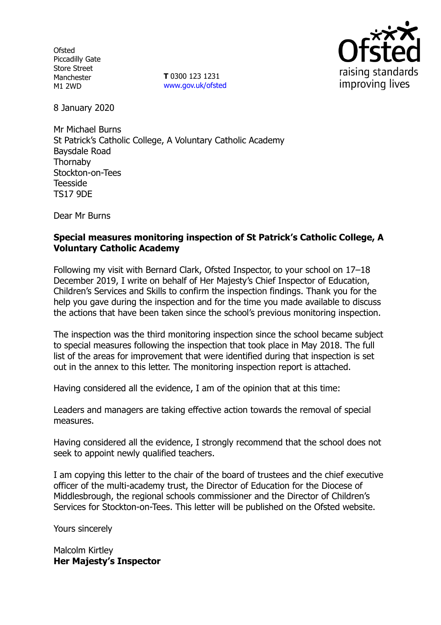**Ofsted** Piccadilly Gate Store Street Manchester M1 2WD

**T** 0300 123 1231 www.gov.uk/ofsted



8 January 2020

Mr Michael Burns St Patrick's Catholic College, A Voluntary Catholic Academy Baysdale Road Thornaby Stockton-on-Tees Teesside TS17 9DE

Dear Mr Burns

## **Special measures monitoring inspection of St Patrick's Catholic College, A Voluntary Catholic Academy**

Following my visit with Bernard Clark, Ofsted Inspector, to your school on 17–18 December 2019, I write on behalf of Her Majesty's Chief Inspector of Education, Children's Services and Skills to confirm the inspection findings. Thank you for the help you gave during the inspection and for the time you made available to discuss the actions that have been taken since the school's previous monitoring inspection.

The inspection was the third monitoring inspection since the school became subject to special measures following the inspection that took place in May 2018. The full list of the areas for improvement that were identified during that inspection is set out in the annex to this letter. The monitoring inspection report is attached.

Having considered all the evidence, I am of the opinion that at this time:

Leaders and managers are taking effective action towards the removal of special measures.

Having considered all the evidence, I strongly recommend that the school does not seek to appoint newly qualified teachers.

I am copying this letter to the chair of the board of trustees and the chief executive officer of the multi-academy trust, the Director of Education for the Diocese of Middlesbrough, the regional schools commissioner and the Director of Children's Services for Stockton-on-Tees. This letter will be published on the Ofsted website.

Yours sincerely

Malcolm Kirtley **Her Majesty's Inspector**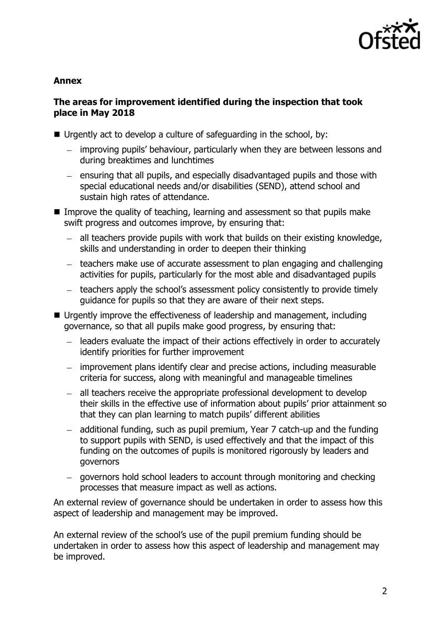

## **Annex**

## **The areas for improvement identified during the inspection that took place in May 2018**

- $\blacksquare$  Urgently act to develop a culture of safeguarding in the school, by:
	- improving pupils' behaviour, particularly when they are between lessons and during breaktimes and lunchtimes
	- $-$  ensuring that all pupils, and especially disadvantaged pupils and those with special educational needs and/or disabilities (SEND), attend school and sustain high rates of attendance.
- Improve the quality of teaching, learning and assessment so that pupils make swift progress and outcomes improve, by ensuring that:
	- all teachers provide pupils with work that builds on their existing knowledge,  $\frac{1}{2}$ skills and understanding in order to deepen their thinking
	- teachers make use of accurate assessment to plan engaging and challenging activities for pupils, particularly for the most able and disadvantaged pupils
	- teachers apply the school's assessment policy consistently to provide timely guidance for pupils so that they are aware of their next steps.
- Urgently improve the effectiveness of leadership and management, including governance, so that all pupils make good progress, by ensuring that:
	- leaders evaluate the impact of their actions effectively in order to accurately identify priorities for further improvement
	- improvement plans identify clear and precise actions, including measurable criteria for success, along with meaningful and manageable timelines
	- all teachers receive the appropriate professional development to develop their skills in the effective use of information about pupils' prior attainment so that they can plan learning to match pupils' different abilities
	- additional funding, such as pupil premium, Year 7 catch-up and the funding  $\equiv$  . to support pupils with SEND, is used effectively and that the impact of this funding on the outcomes of pupils is monitored rigorously by leaders and governors
	- governors hold school leaders to account through monitoring and checking processes that measure impact as well as actions.

An external review of governance should be undertaken in order to assess how this aspect of leadership and management may be improved.

An external review of the school's use of the pupil premium funding should be undertaken in order to assess how this aspect of leadership and management may be improved.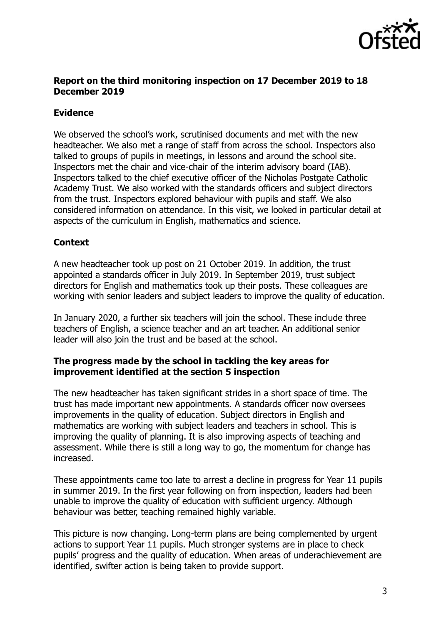

## **Report on the third monitoring inspection on 17 December 2019 to 18 December 2019**

## **Evidence**

We observed the school's work, scrutinised documents and met with the new headteacher. We also met a range of staff from across the school. Inspectors also talked to groups of pupils in meetings, in lessons and around the school site. Inspectors met the chair and vice-chair of the interim advisory board (IAB). Inspectors talked to the chief executive officer of the Nicholas Postgate Catholic Academy Trust. We also worked with the standards officers and subject directors from the trust. Inspectors explored behaviour with pupils and staff. We also considered information on attendance. In this visit, we looked in particular detail at aspects of the curriculum in English, mathematics and science.

# **Context**

A new headteacher took up post on 21 October 2019. In addition, the trust appointed a standards officer in July 2019. In September 2019, trust subject directors for English and mathematics took up their posts. These colleagues are working with senior leaders and subject leaders to improve the quality of education.

In January 2020, a further six teachers will join the school. These include three teachers of English, a science teacher and an art teacher. An additional senior leader will also join the trust and be based at the school.

## **The progress made by the school in tackling the key areas for improvement identified at the section 5 inspection**

The new headteacher has taken significant strides in a short space of time. The trust has made important new appointments. A standards officer now oversees improvements in the quality of education. Subject directors in English and mathematics are working with subject leaders and teachers in school. This is improving the quality of planning. It is also improving aspects of teaching and assessment. While there is still a long way to go, the momentum for change has increased.

These appointments came too late to arrest a decline in progress for Year 11 pupils in summer 2019. In the first year following on from inspection, leaders had been unable to improve the quality of education with sufficient urgency. Although behaviour was better, teaching remained highly variable.

This picture is now changing. Long-term plans are being complemented by urgent actions to support Year 11 pupils. Much stronger systems are in place to check pupils' progress and the quality of education. When areas of underachievement are identified, swifter action is being taken to provide support.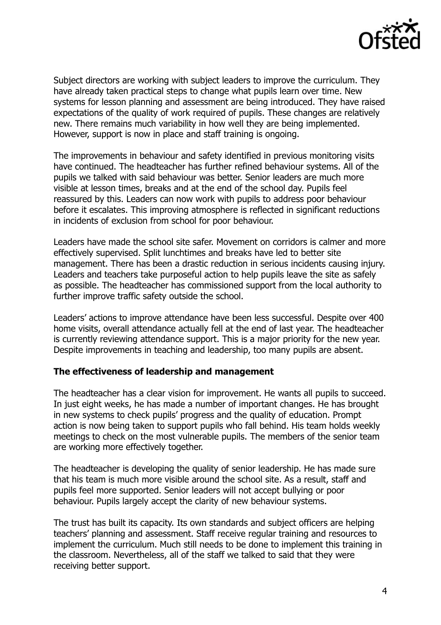

Subject directors are working with subject leaders to improve the curriculum. They have already taken practical steps to change what pupils learn over time. New systems for lesson planning and assessment are being introduced. They have raised expectations of the quality of work required of pupils. These changes are relatively new. There remains much variability in how well they are being implemented. However, support is now in place and staff training is ongoing.

The improvements in behaviour and safety identified in previous monitoring visits have continued. The headteacher has further refined behaviour systems. All of the pupils we talked with said behaviour was better. Senior leaders are much more visible at lesson times, breaks and at the end of the school day. Pupils feel reassured by this. Leaders can now work with pupils to address poor behaviour before it escalates. This improving atmosphere is reflected in significant reductions in incidents of exclusion from school for poor behaviour.

Leaders have made the school site safer. Movement on corridors is calmer and more effectively supervised. Split lunchtimes and breaks have led to better site management. There has been a drastic reduction in serious incidents causing injury. Leaders and teachers take purposeful action to help pupils leave the site as safely as possible. The headteacher has commissioned support from the local authority to further improve traffic safety outside the school.

Leaders' actions to improve attendance have been less successful. Despite over 400 home visits, overall attendance actually fell at the end of last year. The headteacher is currently reviewing attendance support. This is a major priority for the new year. Despite improvements in teaching and leadership, too many pupils are absent.

#### **The effectiveness of leadership and management**

The headteacher has a clear vision for improvement. He wants all pupils to succeed. In just eight weeks, he has made a number of important changes. He has brought in new systems to check pupils' progress and the quality of education. Prompt action is now being taken to support pupils who fall behind. His team holds weekly meetings to check on the most vulnerable pupils. The members of the senior team are working more effectively together.

The headteacher is developing the quality of senior leadership. He has made sure that his team is much more visible around the school site. As a result, staff and pupils feel more supported. Senior leaders will not accept bullying or poor behaviour. Pupils largely accept the clarity of new behaviour systems.

The trust has built its capacity. Its own standards and subject officers are helping teachers' planning and assessment. Staff receive regular training and resources to implement the curriculum. Much still needs to be done to implement this training in the classroom. Nevertheless, all of the staff we talked to said that they were receiving better support.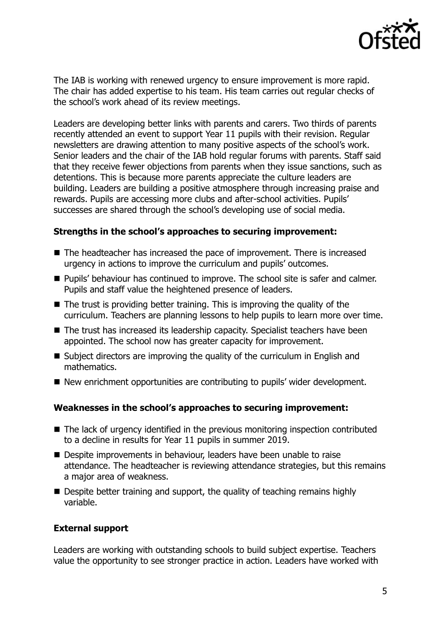

The IAB is working with renewed urgency to ensure improvement is more rapid. The chair has added expertise to his team. His team carries out regular checks of the school's work ahead of its review meetings.

Leaders are developing better links with parents and carers. Two thirds of parents recently attended an event to support Year 11 pupils with their revision. Regular newsletters are drawing attention to many positive aspects of the school's work. Senior leaders and the chair of the IAB hold regular forums with parents. Staff said that they receive fewer objections from parents when they issue sanctions, such as detentions. This is because more parents appreciate the culture leaders are building. Leaders are building a positive atmosphere through increasing praise and rewards. Pupils are accessing more clubs and after-school activities. Pupils' successes are shared through the school's developing use of social media.

#### **Strengths in the school's approaches to securing improvement:**

- The headteacher has increased the pace of improvement. There is increased urgency in actions to improve the curriculum and pupils' outcomes.
- **Pupils' behaviour has continued to improve. The school site is safer and calmer.** Pupils and staff value the heightened presence of leaders.
- $\blacksquare$  The trust is providing better training. This is improving the quality of the curriculum. Teachers are planning lessons to help pupils to learn more over time.
- The trust has increased its leadership capacity. Specialist teachers have been appointed. The school now has greater capacity for improvement.
- Subject directors are improving the quality of the curriculum in English and mathematics.
- New enrichment opportunities are contributing to pupils' wider development.

#### **Weaknesses in the school's approaches to securing improvement:**

- The lack of urgency identified in the previous monitoring inspection contributed to a decline in results for Year 11 pupils in summer 2019.
- Despite improvements in behaviour, leaders have been unable to raise attendance. The headteacher is reviewing attendance strategies, but this remains a major area of weakness.
- Despite better training and support, the quality of teaching remains highly variable.

#### **External support**

Leaders are working with outstanding schools to build subject expertise. Teachers value the opportunity to see stronger practice in action. Leaders have worked with